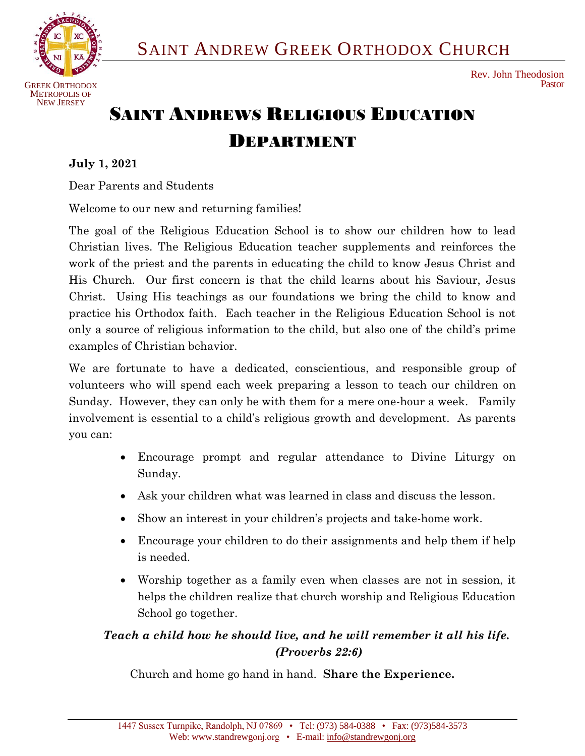

# SAINT ANDREWS RELIGIOUS EDUCATION DEPARTMENT

### **July 1, 2021**

Dear Parents and Students

Welcome to our new and returning families!

The goal of the Religious Education School is to show our children how to lead Christian lives. The Religious Education teacher supplements and reinforces the work of the priest and the parents in educating the child to know Jesus Christ and His Church. Our first concern is that the child learns about his Saviour, Jesus Christ. Using His teachings as our foundations we bring the child to know and practice his Orthodox faith. Each teacher in the Religious Education School is not only a source of religious information to the child, but also one of the child's prime examples of Christian behavior.

We are fortunate to have a dedicated, conscientious, and responsible group of volunteers who will spend each week preparing a lesson to teach our children on Sunday. However, they can only be with them for a mere one-hour a week. Family involvement is essential to a child's religious growth and development. As parents you can:

- Encourage prompt and regular attendance to Divine Liturgy on Sunday.
- Ask your children what was learned in class and discuss the lesson.
- Show an interest in your children's projects and take-home work.
- Encourage your children to do their assignments and help them if help is needed.
- Worship together as a family even when classes are not in session, it helps the children realize that church worship and Religious Education School go together.

## *Teach a child how he should live, and he will remember it all his life. (Proverbs 22:6)*

Church and home go hand in hand. **Share the Experience.**